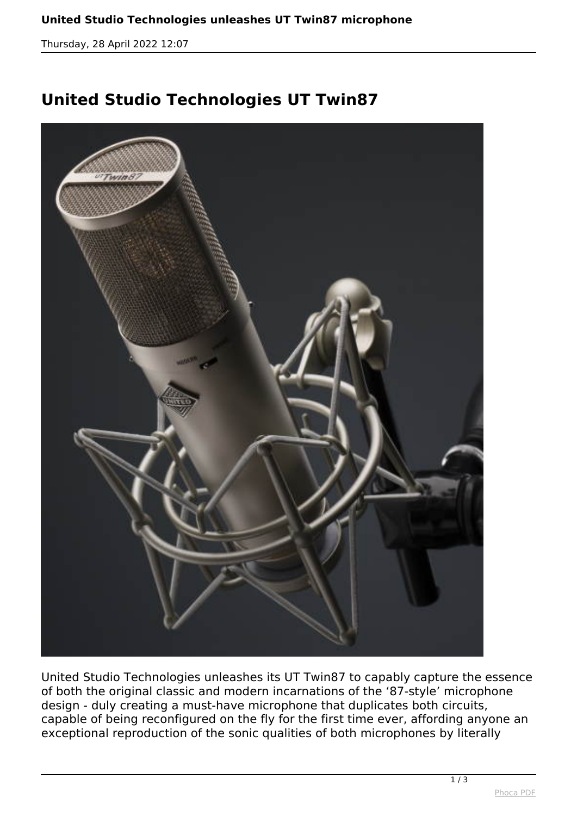*Thursday, 28 April 2022 12:07*

## **United Studio Technologies UT Twin87**



*United Studio Technologies unleashes its UT Twin87 to capably capture the essence of both the original classic and modern incarnations of the '87-style' microphone design - duly creating a must-have microphone that duplicates both circuits, capable of being reconfigured on the fly for the first time ever, affording anyone an exceptional reproduction of the sonic qualities of both microphones by literally*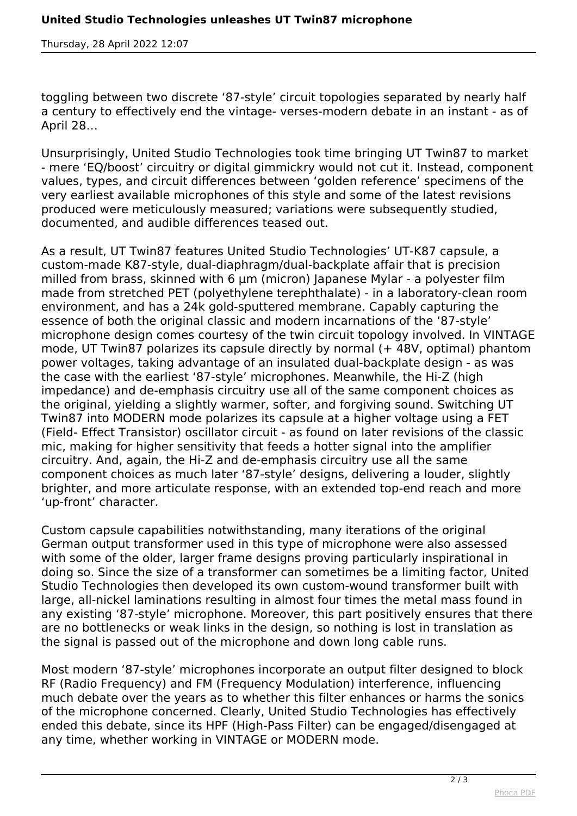*Thursday, 28 April 2022 12:07*

*toggling between two discrete '87-style' circuit topologies separated by nearly half a century to effectively end the vintage- verses-modern debate in an instant - as of April 28…*

*Unsurprisingly, United Studio Technologies took time bringing UT Twin87 to market - mere 'EQ/boost' circuitry or digital gimmickry would not cut it. Instead, component values, types, and circuit differences between 'golden reference' specimens of the very earliest available microphones of this style and some of the latest revisions produced were meticulously measured; variations were subsequently studied, documented, and audible differences teased out.*

*As a result, UT Twin87 features United Studio Technologies' UT-K87 capsule, a custom-made K87-style, dual-diaphragm/dual-backplate affair that is precision milled from brass, skinned with 6 µm (micron) Japanese Mylar - a polyester film made from stretched PET (polyethylene terephthalate) - in a laboratory-clean room environment, and has a 24k gold-sputtered membrane. Capably capturing the essence of both the original classic and modern incarnations of the '87-style' microphone design comes courtesy of the twin circuit topology involved. In VINTAGE mode, UT Twin87 polarizes its capsule directly by normal (+ 48V, optimal) phantom power voltages, taking advantage of an insulated dual-backplate design - as was the case with the earliest '87-style' microphones. Meanwhile, the Hi-Z (high impedance) and de-emphasis circuitry use all of the same component choices as the original, yielding a slightly warmer, softer, and forgiving sound. Switching UT Twin87 into MODERN mode polarizes its capsule at a higher voltage using a FET (Field- Effect Transistor) oscillator circuit - as found on later revisions of the classic mic, making for higher sensitivity that feeds a hotter signal into the amplifier circuitry. And, again, the Hi-Z and de-emphasis circuitry use all the same component choices as much later '87-style' designs, delivering a louder, slightly brighter, and more articulate response, with an extended top-end reach and more 'up-front' character.*

*Custom capsule capabilities notwithstanding, many iterations of the original German output transformer used in this type of microphone were also assessed with some of the older, larger frame designs proving particularly inspirational in doing so. Since the size of a transformer can sometimes be a limiting factor, United Studio Technologies then developed its own custom-wound transformer built with large, all-nickel laminations resulting in almost four times the metal mass found in any existing '87-style' microphone. Moreover, this part positively ensures that there are no bottlenecks or weak links in the design, so nothing is lost in translation as the signal is passed out of the microphone and down long cable runs.*

*Most modern '87-style' microphones incorporate an output filter designed to block RF (Radio Frequency) and FM (Frequency Modulation) interference, influencing much debate over the years as to whether this filter enhances or harms the sonics of the microphone concerned. Clearly, United Studio Technologies has effectively ended this debate, since its HPF (High-Pass Filter) can be engaged/disengaged at any time, whether working in VINTAGE or MODERN mode.*